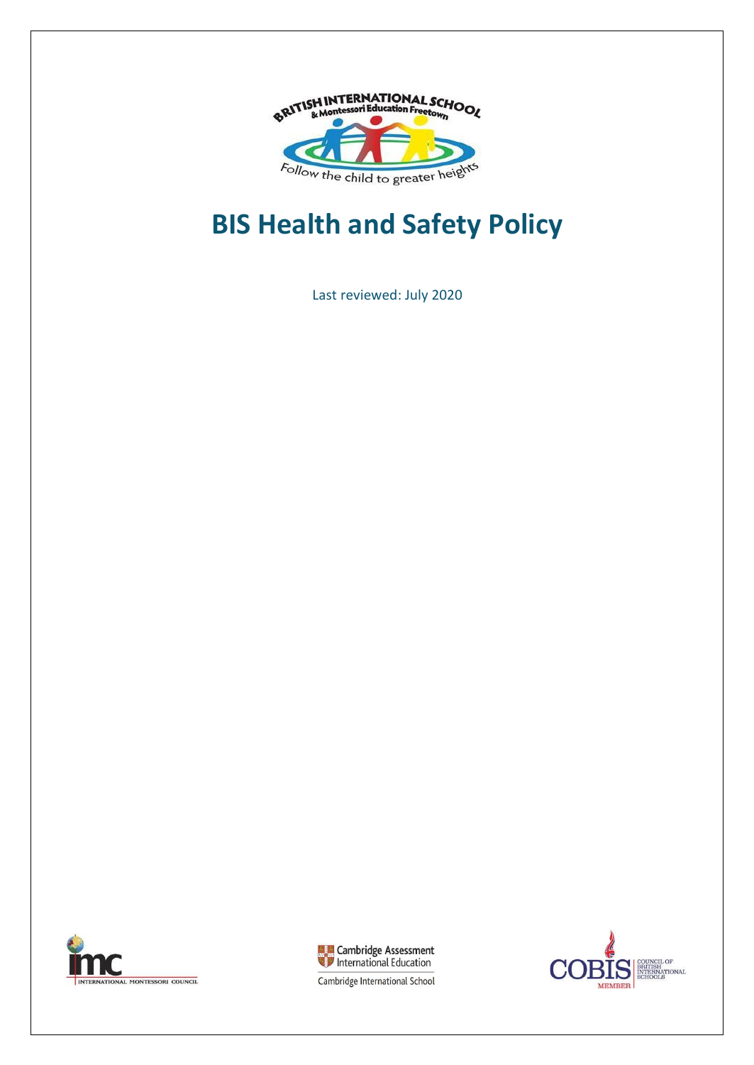

# **BIS Health and Safety Policy**

Last reviewed: July 2020





COUNCIL OF<br>BRITISH<br>INTERNATIONAL<br>SCHOOLS Э **MEMBER** 

Cambridge International School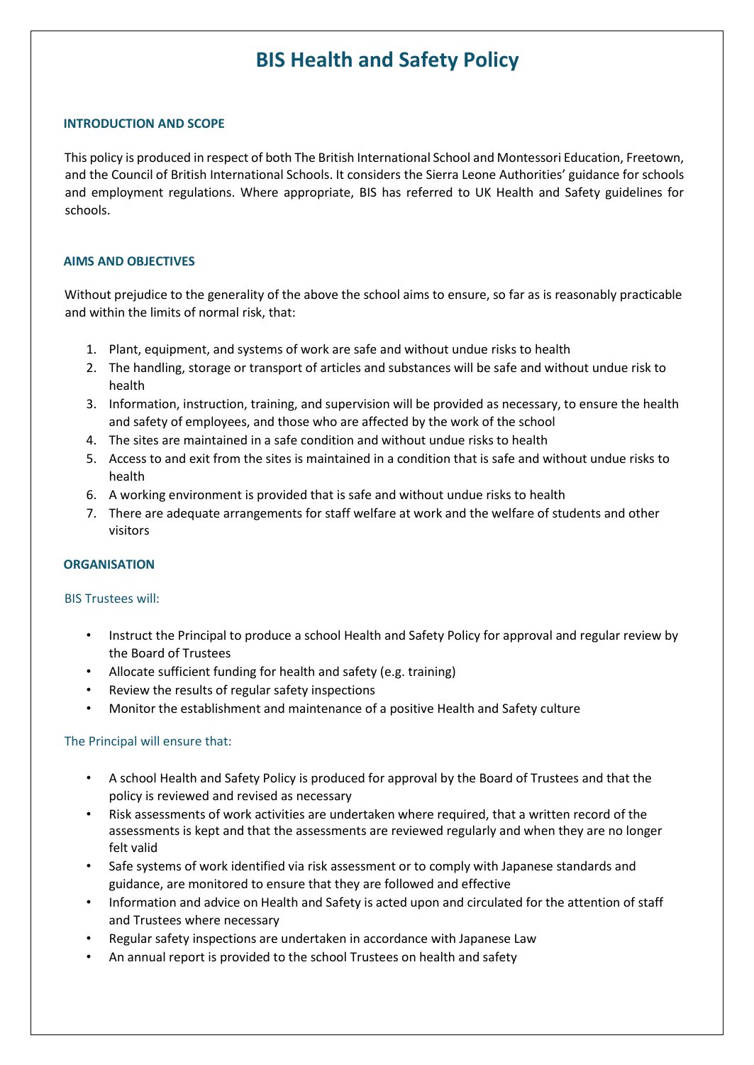# **BIS Health and Safety Policy**

#### **INTRODUCTION AND SCOPE**

This policy is produced in respect of both The British International School and Montessori Education, Freetown, and the Council of British International Schools. It considers the Sierra Leone Authorities' guidance for schools and employment regulations. Where appropriate, BIS has referred to UK Health and Safety guidelines for schools.

#### **AIMS AND OBJECTIVES**

Without prejudice to the generality of the above the school aims to ensure, so far as is reasonably practicable and within the limits of normal risk, that:

- 1. Plant, equipment, and systems of work are safe and without undue risks to health
- 2. The handling, storage or transport of articles and substances will be safe and without undue risk to health
- 3. Information, instruction, training, and supervision will be provided as necessary, to ensure the health and safety of employees, and those who are affected by the work of the school
- 4. The sites are maintained in a safe condition and without undue risks to health
- 5. Access to and exit from the sites is maintained in a condition that is safe and without undue risks to health
- 6. A working environment is provided that is safe and without undue risks to health
- 7. There are adequate arrangements for staff welfare at work and the welfare of students and other visitors

#### **ORGANISATION**

#### BIS Trustees will:

- Instruct the Principal to produce a school Health and Safety Policy for approval and regular review by the Board of Trustees
- Allocate sufficient funding for health and safety (e.g. training)
- Review the results of regular safety inspections
- Monitor the establishment and maintenance of a positive Health and Safety culture

#### The Principal will ensure that:

- A school Health and Safety Policy is produced for approval by the Board of Trustees and that the policy is reviewed and revised as necessary
- Risk assessments of work activities are undertaken where required, that a written record of the assessments is kept and that the assessments are reviewed regularly and when they are no longer felt valid
- Safe systems of work identified via risk assessment or to comply with Japanese standards and guidance, are monitored to ensure that they are followed and effective
- Information and advice on Health and Safety is acted upon and circulated for the attention of staff and Trustees where necessary
- Regular safety inspections are undertaken in accordance with Japanese Law
- An annual report is provided to the school Trustees on health and safety